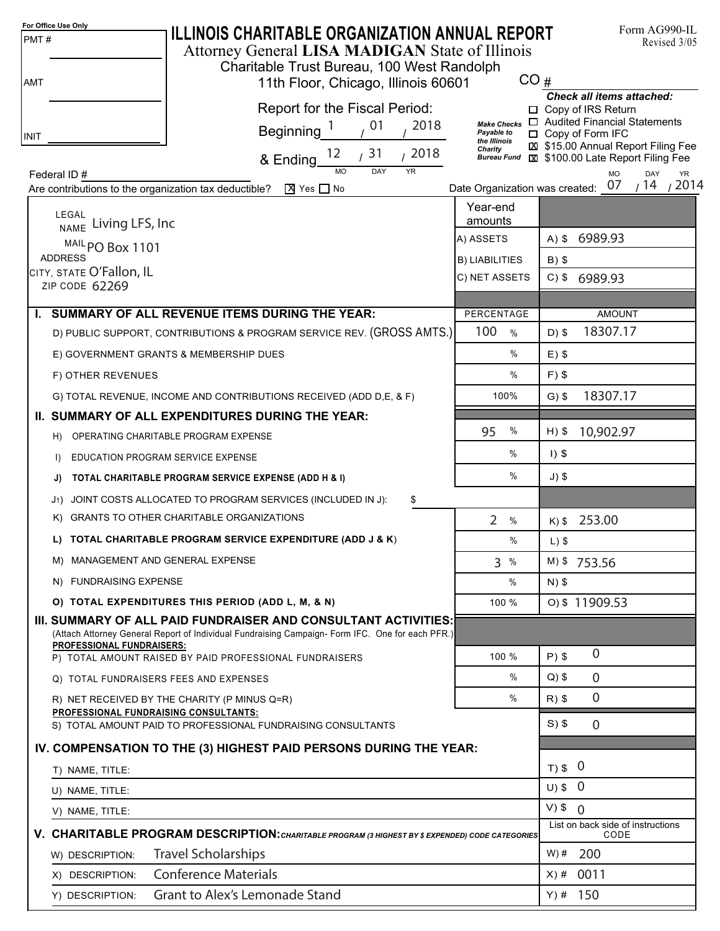| For Office Use Only<br>PMT#                                                  | <b>ILLINOIS CHARITABLE ORGANIZATION ANNUAL REPORT</b><br>Attorney General LISA MADIGAN State of Illinois                                                                                              |                                               |           | Form AG990-IL<br>Revised 3/05                                                                                              |
|------------------------------------------------------------------------------|-------------------------------------------------------------------------------------------------------------------------------------------------------------------------------------------------------|-----------------------------------------------|-----------|----------------------------------------------------------------------------------------------------------------------------|
| AMT                                                                          | Charitable Trust Bureau, 100 West Randolph<br>11th Floor, Chicago, Illinois 60601                                                                                                                     | CO#                                           |           |                                                                                                                            |
| <b>INIT</b>                                                                  | Report for the Fiscal Period:<br>2018<br>, 01<br>Beginning <sup>1</sup>                                                                                                                               | <b>Make Checks</b><br>Payable to              |           | <b>Check all items attached:</b><br>□ Copy of IRS Return<br>$\Box$ Audited Financial Statements<br>$\Box$ Copy of Form IFC |
|                                                                              | /2018<br>& Ending $12$ / 31                                                                                                                                                                           | the Illinois<br>Charity<br><b>Bureau Fund</b> |           | \$15.00 Annual Report Filing Fee<br>\$100.00 Late Report Filing Fee                                                        |
| Federal ID#                                                                  | DAY<br><b>YR</b>                                                                                                                                                                                      |                                               |           | <b>MO</b><br>DAY<br><b>YR</b><br>/2014<br>/14                                                                              |
|                                                                              | $X$ Yes $\Box$ No<br>Are contributions to the organization tax deductible?                                                                                                                            | Date Organization was created: 07<br>Year-end |           |                                                                                                                            |
| LEGAL                                                                        | NAME Living LFS, Inc                                                                                                                                                                                  | amounts                                       |           |                                                                                                                            |
|                                                                              | MAIL PO Box 1101                                                                                                                                                                                      | A) ASSETS                                     |           | A) \$ 6989.93                                                                                                              |
| <b>ADDRESS</b><br><b>B) LIABILITIES</b>                                      |                                                                                                                                                                                                       |                                               | $B)$ \$   |                                                                                                                            |
| сітү, ѕтатє O'Fallon, IL<br>C) NET ASSETS<br>ZIP CODE 62269                  |                                                                                                                                                                                                       |                                               |           | $C)$ \$<br>6989.93                                                                                                         |
|                                                                              | I. SUMMARY OF ALL REVENUE ITEMS DURING THE YEAR:                                                                                                                                                      | PERCENTAGE                                    |           | <b>AMOUNT</b>                                                                                                              |
|                                                                              | D) PUBLIC SUPPORT, CONTRIBUTIONS & PROGRAM SERVICE REV. (GROSS AMTS.)                                                                                                                                 | 100<br>$\frac{0}{0}$                          | $D)$ \$   | 18307.17                                                                                                                   |
|                                                                              | E) GOVERNMENT GRANTS & MEMBERSHIP DUES                                                                                                                                                                | %                                             | $E)$ \$   |                                                                                                                            |
| F) OTHER REVENUES                                                            |                                                                                                                                                                                                       | %                                             | $F$ ) \$  |                                                                                                                            |
|                                                                              | G) TOTAL REVENUE, INCOME AND CONTRIBUTIONS RECEIVED (ADD D,E, & F)                                                                                                                                    | 100%                                          | $G$ ) \$  | 18307.17                                                                                                                   |
|                                                                              | II. SUMMARY OF ALL EXPENDITURES DURING THE YEAR:                                                                                                                                                      |                                               |           |                                                                                                                            |
| H)                                                                           | OPERATING CHARITABLE PROGRAM EXPENSE                                                                                                                                                                  | %<br>95                                       | $H)$ \$   | 10,902.97                                                                                                                  |
| $\mathsf{D}$                                                                 | EDUCATION PROGRAM SERVICE EXPENSE                                                                                                                                                                     | %                                             | $1)$ \$   |                                                                                                                            |
| J)                                                                           | TOTAL CHARITABLE PROGRAM SERVICE EXPENSE (ADD H & I)                                                                                                                                                  | %                                             | $J)$ \$   |                                                                                                                            |
|                                                                              | J1) JOINT COSTS ALLOCATED TO PROGRAM SERVICES (INCLUDED IN J):<br>\$                                                                                                                                  |                                               |           |                                                                                                                            |
|                                                                              | K) GRANTS TO OTHER CHARITABLE ORGANIZATIONS                                                                                                                                                           | $\overline{2}$<br>$\frac{0}{0}$               |           | $K$ ) \$253.00                                                                                                             |
|                                                                              | L) TOTAL CHARITABLE PROGRAM SERVICE EXPENDITURE (ADD J & K)                                                                                                                                           | %                                             | $L)$ \$   |                                                                                                                            |
|                                                                              | M) MANAGEMENT AND GENERAL EXPENSE                                                                                                                                                                     | 3%                                            |           | M) \$753.56                                                                                                                |
|                                                                              | N) FUNDRAISING EXPENSE                                                                                                                                                                                | $\%$                                          | $N)$ \$   |                                                                                                                            |
|                                                                              | O) TOTAL EXPENDITURES THIS PERIOD (ADD L, M, & N)                                                                                                                                                     | 100 %                                         |           | 0) \$11909.53                                                                                                              |
|                                                                              | III. SUMMARY OF ALL PAID FUNDRAISER AND CONSULTANT ACTIVITIES:<br>(Attach Attorney General Report of Individual Fundraising Campaign-Form IFC. One for each PFR.)<br><b>PROFESSIONAL FUNDRAISERS:</b> |                                               |           |                                                                                                                            |
|                                                                              | P) TOTAL AMOUNT RAISED BY PAID PROFESSIONAL FUNDRAISERS                                                                                                                                               | 100 %                                         | $P$ ) \$  | $\overline{0}$                                                                                                             |
|                                                                              | Q) TOTAL FUNDRAISERS FEES AND EXPENSES                                                                                                                                                                | $\%$                                          | $Q$ ) \$  | $\mathbf 0$                                                                                                                |
|                                                                              | R) NET RECEIVED BY THE CHARITY (P MINUS Q=R)                                                                                                                                                          | $\%$                                          | $R)$ \$   | $\overline{0}$                                                                                                             |
|                                                                              | PROFESSIONAL FUNDRAISING CONSULTANTS:<br>S) TOTAL AMOUNT PAID TO PROFESSIONAL FUNDRAISING CONSULTANTS                                                                                                 |                                               | $S)$ \$   | $\overline{0}$                                                                                                             |
| IV. COMPENSATION TO THE (3) HIGHEST PAID PERSONS DURING THE YEAR:            |                                                                                                                                                                                                       |                                               |           |                                                                                                                            |
| T) NAME, TITLE:                                                              | $T$ ) \$ 0                                                                                                                                                                                            |                                               |           |                                                                                                                            |
| U) NAME, TITLE:                                                              |                                                                                                                                                                                                       |                                               | $U)$ \$ 0 |                                                                                                                            |
| V) NAME, TITLE:                                                              |                                                                                                                                                                                                       | $V)$ \$ 0                                     |           |                                                                                                                            |
|                                                                              | V. CHARITABLE PROGRAM DESCRIPTION: CHARITABLE PROGRAM (3 HIGHEST BY \$ EXPENDED) CODE CATEGORIES                                                                                                      |                                               |           | List on back side of instructions<br>CODE                                                                                  |
| W) DESCRIPTION:                                                              | $W)$ #                                                                                                                                                                                                | 200                                           |           |                                                                                                                            |
| <b>Travel Scholarships</b><br><b>Conference Materials</b><br>X) DESCRIPTION: |                                                                                                                                                                                                       |                                               |           | 0011                                                                                                                       |
| Y) DESCRIPTION:                                                              | <b>Grant to Alex's Lemonade Stand</b>                                                                                                                                                                 |                                               | $X)$ #    | $Y)$ # 150                                                                                                                 |
|                                                                              |                                                                                                                                                                                                       |                                               |           |                                                                                                                            |